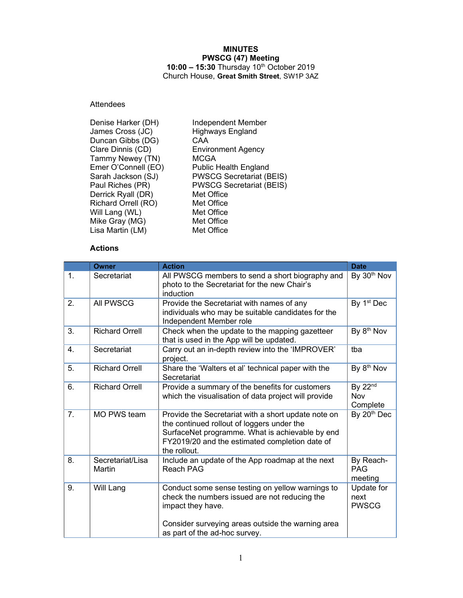### MINUTES PWSCG (47) Meeting 10:00 - 15:30 Thursday 10<sup>th</sup> October 2019 Church House, Great Smith Street, SW1P 3AZ

# Attendees

| Denise Harker (DH)  | <b>Independent Member</b>       |
|---------------------|---------------------------------|
| James Cross (JC)    | <b>Highways England</b>         |
| Duncan Gibbs (DG)   | CAA                             |
| Clare Dinnis (CD)   | <b>Environment Agency</b>       |
| Tammy Newey (TN)    | <b>MCGA</b>                     |
| Emer O'Connell (EO) | <b>Public Health England</b>    |
| Sarah Jackson (SJ)  | <b>PWSCG Secretariat (BEIS)</b> |
| Paul Riches (PR)    | <b>PWSCG Secretariat (BEIS)</b> |
| Derrick Ryall (DR)  | Met Office                      |
| Richard Orrell (RO) | Met Office                      |
| Will Lang (WL)      | Met Office                      |
| Mike Gray (MG)      | Met Office                      |
| Lisa Martin (LM)    | Met Office                      |
|                     |                                 |

### Actions

|                | <b>Owner</b>               | <b>Action</b>                                                                                                                                                                                                          | <b>Date</b>                            |
|----------------|----------------------------|------------------------------------------------------------------------------------------------------------------------------------------------------------------------------------------------------------------------|----------------------------------------|
| 1.             | Secretariat                | All PWSCG members to send a short biography and<br>photo to the Secretariat for the new Chair's<br>induction                                                                                                           | By 30 <sup>th</sup> Nov                |
| 2.             | All PWSCG                  | Provide the Secretariat with names of any<br>individuals who may be suitable candidates for the<br>Independent Member role                                                                                             | By 1 <sup>st</sup> Dec                 |
| 3.             | <b>Richard Orrell</b>      | Check when the update to the mapping gazetteer<br>that is used in the App will be updated.                                                                                                                             | By 8 <sup>th</sup> Nov                 |
| 4.             | Secretariat                | Carry out an in-depth review into the 'IMPROVER'<br>project.                                                                                                                                                           | tba                                    |
| 5.             | <b>Richard Orrell</b>      | Share the 'Walters et al' technical paper with the<br>Secretariat                                                                                                                                                      | By 8 <sup>th</sup> Nov                 |
| 6.             | <b>Richard Orrell</b>      | Provide a summary of the benefits for customers<br>which the visualisation of data project will provide                                                                                                                | By 22 <sup>nd</sup><br>Nov<br>Complete |
| 7 <sub>1</sub> | <b>MO PWS team</b>         | Provide the Secretariat with a short update note on<br>the continued rollout of loggers under the<br>SurfaceNet programme. What is achievable by end<br>FY2019/20 and the estimated completion date of<br>the rollout. | By 20 <sup>th</sup> Dec                |
| 8.             | Secretariat/Lisa<br>Martin | Include an update of the App roadmap at the next<br><b>Reach PAG</b>                                                                                                                                                   | By Reach-<br><b>PAG</b><br>meeting     |
| 9.             | Will Lang                  | Conduct some sense testing on yellow warnings to<br>check the numbers issued are not reducing the<br>impact they have.                                                                                                 | Update for<br>next<br><b>PWSCG</b>     |
|                |                            | Consider surveying areas outside the warning area<br>as part of the ad-hoc survey.                                                                                                                                     |                                        |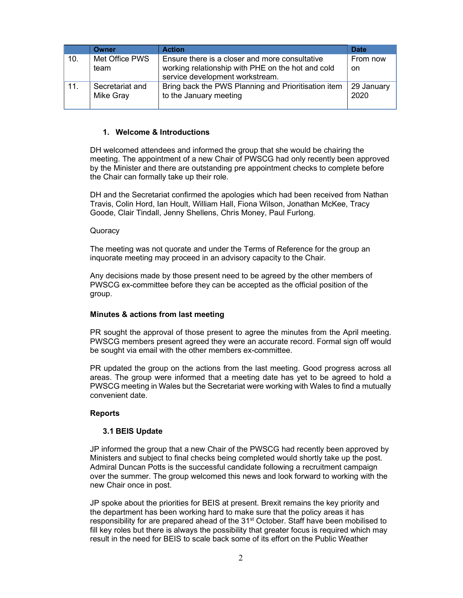|     | Owner                        | <b>Action</b>                                                                                                                          | <b>Date</b>               |
|-----|------------------------------|----------------------------------------------------------------------------------------------------------------------------------------|---------------------------|
| 10. | Met Office PWS<br>team       | Ensure there is a closer and more consultative<br>working relationship with PHE on the hot and cold<br>service development workstream. | From now<br><sub>on</sub> |
| 11. | Secretariat and<br>Mike Gray | Bring back the PWS Planning and Prioritisation item<br>to the January meeting                                                          | 29 January<br>2020        |

### 1. Welcome & Introductions

DH welcomed attendees and informed the group that she would be chairing the meeting. The appointment of a new Chair of PWSCG had only recently been approved by the Minister and there are outstanding pre appointment checks to complete before the Chair can formally take up their role.

DH and the Secretariat confirmed the apologies which had been received from Nathan Travis, Colin Hord, Ian Hoult, William Hall, Fiona Wilson, Jonathan McKee, Tracy Goode, Clair Tindall, Jenny Shellens, Chris Money, Paul Furlong.

#### **Quoracy**

The meeting was not quorate and under the Terms of Reference for the group an inquorate meeting may proceed in an advisory capacity to the Chair.

Any decisions made by those present need to be agreed by the other members of PWSCG ex-committee before they can be accepted as the official position of the group.

#### Minutes & actions from last meeting

PR sought the approval of those present to agree the minutes from the April meeting. PWSCG members present agreed they were an accurate record. Formal sign off would be sought via email with the other members ex-committee.

PR updated the group on the actions from the last meeting. Good progress across all areas. The group were informed that a meeting date has yet to be agreed to hold a PWSCG meeting in Wales but the Secretariat were working with Wales to find a mutually convenient date.

#### Reports

#### 3.1 BEIS Update

JP informed the group that a new Chair of the PWSCG had recently been approved by Ministers and subject to final checks being completed would shortly take up the post. Admiral Duncan Potts is the successful candidate following a recruitment campaign over the summer. The group welcomed this news and look forward to working with the new Chair once in post.

JP spoke about the priorities for BEIS at present. Brexit remains the key priority and the department has been working hard to make sure that the policy areas it has responsibility for are prepared ahead of the 31<sup>st</sup> October. Staff have been mobilised to fill key roles but there is always the possibility that greater focus is required which may result in the need for BEIS to scale back some of its effort on the Public Weather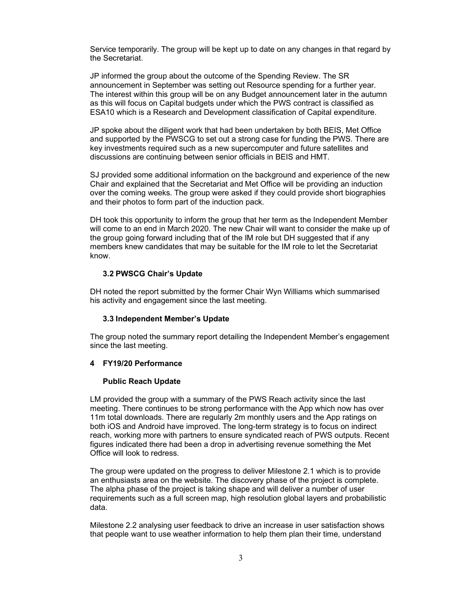Service temporarily. The group will be kept up to date on any changes in that regard by the Secretariat.

JP informed the group about the outcome of the Spending Review. The SR announcement in September was setting out Resource spending for a further year. The interest within this group will be on any Budget announcement later in the autumn as this will focus on Capital budgets under which the PWS contract is classified as ESA10 which is a Research and Development classification of Capital expenditure.

JP spoke about the diligent work that had been undertaken by both BEIS, Met Office and supported by the PWSCG to set out a strong case for funding the PWS. There are key investments required such as a new supercomputer and future satellites and discussions are continuing between senior officials in BEIS and HMT.

SJ provided some additional information on the background and experience of the new Chair and explained that the Secretariat and Met Office will be providing an induction over the coming weeks. The group were asked if they could provide short biographies and their photos to form part of the induction pack.

DH took this opportunity to inform the group that her term as the Independent Member will come to an end in March 2020. The new Chair will want to consider the make up of the group going forward including that of the IM role but DH suggested that if any members knew candidates that may be suitable for the IM role to let the Secretariat know.

# 3.2 PWSCG Chair's Update

DH noted the report submitted by the former Chair Wyn Williams which summarised his activity and engagement since the last meeting.

### 3.3 Independent Member's Update

The group noted the summary report detailing the Independent Member's engagement since the last meeting.

# 4 FY19/20 Performance

### Public Reach Update

LM provided the group with a summary of the PWS Reach activity since the last meeting. There continues to be strong performance with the App which now has over 11m total downloads. There are regularly 2m monthly users and the App ratings on both iOS and Android have improved. The long-term strategy is to focus on indirect reach, working more with partners to ensure syndicated reach of PWS outputs. Recent figures indicated there had been a drop in advertising revenue something the Met Office will look to redress.

The group were updated on the progress to deliver Milestone 2.1 which is to provide an enthusiasts area on the website. The discovery phase of the project is complete. The alpha phase of the project is taking shape and will deliver a number of user requirements such as a full screen map, high resolution global layers and probabilistic data.

Milestone 2.2 analysing user feedback to drive an increase in user satisfaction shows that people want to use weather information to help them plan their time, understand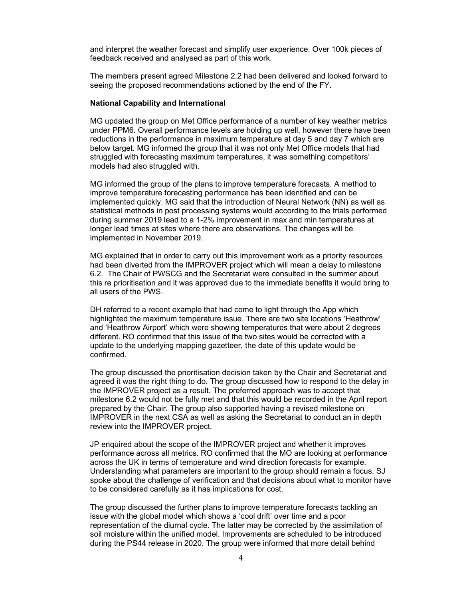and interpret the weather forecast and simplify user experience. Over 100k pieces of feedback received and analysed as part of this work.

The members present agreed Milestone 2.2 had been delivered and looked forward to seeing the proposed recommendations actioned by the end of the FY.

#### National Capability and International

MG updated the group on Met Office performance of a number of key weather metrics under PPM6. Overall performance levels are holding up well, however there have been reductions in the performance in maximum temperature at day 5 and day 7 which are below target. MG informed the group that it was not only Met Office models that had struggled with forecasting maximum temperatures, it was something competitors' models had also struggled with.

MG informed the group of the plans to improve temperature forecasts. A method to improve temperature forecasting performance has been identified and can be implemented quickly. MG said that the introduction of Neural Network (NN) as well as statistical methods in post processing systems would according to the trials performed during summer 2019 lead to a 1-2% improvement in max and min temperatures at longer lead times at sites where there are observations. The changes will be implemented in November 2019.

MG explained that in order to carry out this improvement work as a priority resources had been diverted from the IMPROVER project which will mean a delay to milestone 6.2. The Chair of PWSCG and the Secretariat were consulted in the summer about this re prioritisation and it was approved due to the immediate benefits it would bring to all users of the PWS.

DH referred to a recent example that had come to light through the App which highlighted the maximum temperature issue. There are two site locations 'Heathrow' and 'Heathrow Airport' which were showing temperatures that were about 2 degrees different. RO confirmed that this issue of the two sites would be corrected with a update to the underlying mapping gazetteer, the date of this update would be confirmed.

The group discussed the prioritisation decision taken by the Chair and Secretariat and agreed it was the right thing to do. The group discussed how to respond to the delay in the IMPROVER project as a result. The preferred approach was to accept that milestone 6.2 would not be fully met and that this would be recorded in the April report prepared by the Chair. The group also supported having a revised milestone on IMPROVER in the next CSA as well as asking the Secretariat to conduct an in depth review into the IMPROVER project.

JP enquired about the scope of the IMPROVER project and whether it improves performance across all metrics. RO confirmed that the MO are looking at performance across the UK in terms of temperature and wind direction forecasts for example. Understanding what parameters are important to the group should remain a focus. SJ spoke about the challenge of verification and that decisions about what to monitor have to be considered carefully as it has implications for cost.

The group discussed the further plans to improve temperature forecasts tackling an issue with the global model which shows a 'cool drift' over time and a poor representation of the diurnal cycle. The latter may be corrected by the assimilation of soil moisture within the unified model. Improvements are scheduled to be introduced during the PS44 release in 2020. The group were informed that more detail behind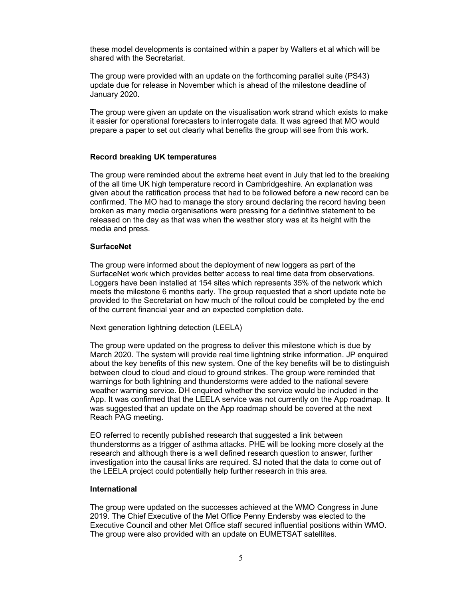these model developments is contained within a paper by Walters et al which will be shared with the Secretariat.

The group were provided with an update on the forthcoming parallel suite (PS43) update due for release in November which is ahead of the milestone deadline of January 2020.

The group were given an update on the visualisation work strand which exists to make it easier for operational forecasters to interrogate data. It was agreed that MO would prepare a paper to set out clearly what benefits the group will see from this work.

### Record breaking UK temperatures

The group were reminded about the extreme heat event in July that led to the breaking of the all time UK high temperature record in Cambridgeshire. An explanation was given about the ratification process that had to be followed before a new record can be confirmed. The MO had to manage the story around declaring the record having been broken as many media organisations were pressing for a definitive statement to be released on the day as that was when the weather story was at its height with the media and press.

### **SurfaceNet**

The group were informed about the deployment of new loggers as part of the SurfaceNet work which provides better access to real time data from observations. Loggers have been installed at 154 sites which represents 35% of the network which meets the milestone 6 months early. The group requested that a short update note be provided to the Secretariat on how much of the rollout could be completed by the end of the current financial year and an expected completion date.

Next generation lightning detection (LEELA)

The group were updated on the progress to deliver this milestone which is due by March 2020. The system will provide real time lightning strike information. JP enquired about the key benefits of this new system. One of the key benefits will be to distinguish between cloud to cloud and cloud to ground strikes. The group were reminded that warnings for both lightning and thunderstorms were added to the national severe weather warning service. DH enquired whether the service would be included in the App. It was confirmed that the LEELA service was not currently on the App roadmap. It was suggested that an update on the App roadmap should be covered at the next Reach PAG meeting.

EO referred to recently published research that suggested a link between thunderstorms as a trigger of asthma attacks. PHE will be looking more closely at the research and although there is a well defined research question to answer, further investigation into the causal links are required. SJ noted that the data to come out of the LEELA project could potentially help further research in this area.

### International

The group were updated on the successes achieved at the WMO Congress in June 2019. The Chief Executive of the Met Office Penny Endersby was elected to the Executive Council and other Met Office staff secured influential positions within WMO. The group were also provided with an update on EUMETSAT satellites.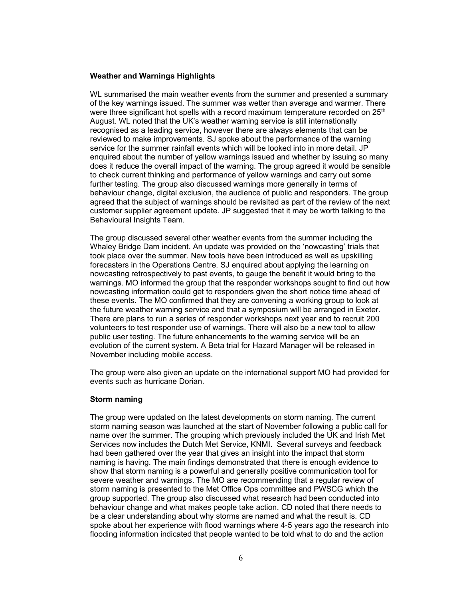#### Weather and Warnings Highlights

WL summarised the main weather events from the summer and presented a summary of the key warnings issued. The summer was wetter than average and warmer. There were three significant hot spells with a record maximum temperature recorded on 25<sup>th</sup> August. WL noted that the UK's weather warning service is still internationally recognised as a leading service, however there are always elements that can be reviewed to make improvements. SJ spoke about the performance of the warning service for the summer rainfall events which will be looked into in more detail. JP enquired about the number of yellow warnings issued and whether by issuing so many does it reduce the overall impact of the warning. The group agreed it would be sensible to check current thinking and performance of yellow warnings and carry out some further testing. The group also discussed warnings more generally in terms of behaviour change, digital exclusion, the audience of public and responders. The group agreed that the subject of warnings should be revisited as part of the review of the next customer supplier agreement update. JP suggested that it may be worth talking to the Behavioural Insights Team.

The group discussed several other weather events from the summer including the Whaley Bridge Dam incident. An update was provided on the 'nowcasting' trials that took place over the summer. New tools have been introduced as well as upskilling forecasters in the Operations Centre. SJ enquired about applying the learning on nowcasting retrospectively to past events, to gauge the benefit it would bring to the warnings. MO informed the group that the responder workshops sought to find out how nowcasting information could get to responders given the short notice time ahead of these events. The MO confirmed that they are convening a working group to look at the future weather warning service and that a symposium will be arranged in Exeter. There are plans to run a series of responder workshops next year and to recruit 200 volunteers to test responder use of warnings. There will also be a new tool to allow public user testing. The future enhancements to the warning service will be an evolution of the current system. A Beta trial for Hazard Manager will be released in November including mobile access.

The group were also given an update on the international support MO had provided for events such as hurricane Dorian.

#### Storm naming

The group were updated on the latest developments on storm naming. The current storm naming season was launched at the start of November following a public call for name over the summer. The grouping which previously included the UK and Irish Met Services now includes the Dutch Met Service, KNMI. Several surveys and feedback had been gathered over the year that gives an insight into the impact that storm naming is having. The main findings demonstrated that there is enough evidence to show that storm naming is a powerful and generally positive communication tool for severe weather and warnings. The MO are recommending that a regular review of storm naming is presented to the Met Office Ops committee and PWSCG which the group supported. The group also discussed what research had been conducted into behaviour change and what makes people take action. CD noted that there needs to be a clear understanding about why storms are named and what the result is. CD spoke about her experience with flood warnings where 4-5 years ago the research into flooding information indicated that people wanted to be told what to do and the action